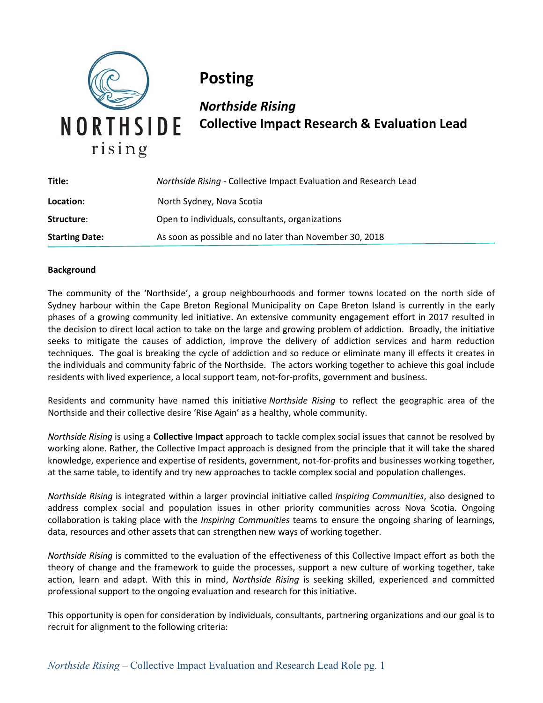

# **Posting**

*Northside Rising* **Collective Impact Research & Evaluation Lead** 

| Title:                | Northside Rising - Collective Impact Evaluation and Research Lead |
|-----------------------|-------------------------------------------------------------------|
| Location:             | North Sydney, Nova Scotia                                         |
| Structure:            | Open to individuals, consultants, organizations                   |
| <b>Starting Date:</b> | As soon as possible and no later than November 30, 2018           |

## **Background**

The community of the 'Northside', a group neighbourhoods and former towns located on the north side of Sydney harbour within the Cape Breton Regional Municipality on Cape Breton Island is currently in the early phases of a growing community led initiative. An extensive community engagement effort in 2017 resulted in the decision to direct local action to take on the large and growing problem of addiction. Broadly, the initiative seeks to mitigate the causes of addiction, improve the delivery of addiction services and harm reduction techniques. The goal is breaking the cycle of addiction and so reduce or eliminate many ill effects it creates in the individuals and community fabric of the Northside. The actors working together to achieve this goal include residents with lived experience, a local support team, not-for-profits, government and business.

Residents and community have named this initiative *Northside Rising* to reflect the geographic area of the Northside and their collective desire 'Rise Again' as a healthy, whole community.

*Northside Rising* is using a **Collective Impact** approach to tackle complex social issues that cannot be resolved by working alone. Rather, the Collective Impact approach is designed from the principle that it will take the shared knowledge, experience and expertise of residents, government, not-for-profits and businesses working together, at the same table, to identify and try new approaches to tackle complex social and population challenges.

*Northside Rising* is integrated within a larger provincial initiative called *Inspiring Communities*, also designed to address complex social and population issues in other priority communities across Nova Scotia. Ongoing collaboration is taking place with the *Inspiring Communities* teams to ensure the ongoing sharing of learnings, data, resources and other assets that can strengthen new ways of working together.

*Northside Rising* is committed to the evaluation of the effectiveness of this Collective Impact effort as both the theory of change and the framework to guide the processes, support a new culture of working together, take action, learn and adapt. With this in mind, *Northside Rising* is seeking skilled, experienced and committed professional support to the ongoing evaluation and research for this initiative.

This opportunity is open for consideration by individuals, consultants, partnering organizations and our goal is to recruit for alignment to the following criteria: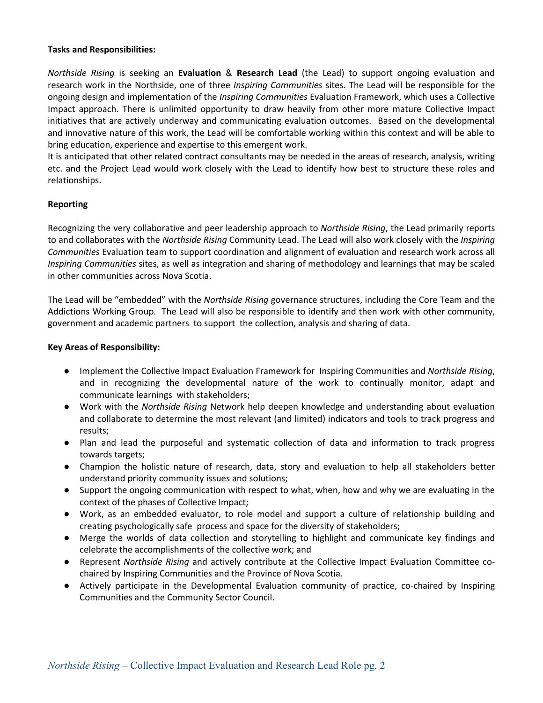#### **Tasks and Responsibilities:**

*Northside Rising* is seeking an **Evaluation** & **Research Lead** (the Lead) to support ongoing evaluation and research work in the Northside, one of three *Inspiring Communities* sites. The Lead will be responsible for the ongoing design and implementation of the *Inspiring Communities* Evaluation Framework, which uses a Collective Impact approach. There is unlimited opportunity to draw heavily from other more mature Collective Impact initiatives that are actively underway and communicating evaluation outcomes. Based on the developmental and innovative nature of this work, the Lead will be comfortable working within this context and will be able to bring education, experience and expertise to this emergent work.

It is anticipated that other related contract consultants may be needed in the areas of research, analysis, writing etc. and the Project Lead would work closely with the Lead to identify how best to structure these roles and relationships.

## **Reporting**

Recognizing the very collaborative and peer leadership approach to *Northside Rising*, the Lead primarily reports to and collaborates with the *Northside Rising* Community Lead. The Lead will also work closely with the *Inspiring Communities* Evaluation team to support coordination and alignment of evaluation and research work across all *Inspiring Communities* sites, as well as integration and sharing of methodology and learnings that may be scaled in other communities across Nova Scotia.

The Lead will be "embedded" with the *Northside Rising* governance structures, including the Core Team and the Addictions Working Group. The Lead will also be responsible to identify and then work with other community, government and academic partners to support the collection, analysis and sharing of data.

## **Key Areas of Responsibility:**

- Implement the Collective Impact Evaluation Framework for Inspiring Communities and *Northside Rising*, and in recognizing the developmental nature of the work to continually monitor, adapt and communicate learnings with stakeholders;
- Work with the *Northside Rising* Network help deepen knowledge and understanding about evaluation and collaborate to determine the most relevant (and limited) indicators and tools to track progress and results;
- Plan and lead the purposeful and systematic collection of data and information to track progress towards targets;
- Champion the holistic nature of research, data, story and evaluation to help all stakeholders better understand priority community issues and solutions;
- Support the ongoing communication with respect to what, when, how and why we are evaluating in the context of the phases of Collective Impact;
- Work, as an embedded evaluator, to role model and support a culture of relationship building and creating psychologically safe process and space for the diversity of stakeholders;
- Merge the worlds of data collection and storytelling to highlight and communicate key findings and celebrate the accomplishments of the collective work; and
- Represent *Northside Rising* and actively contribute at the Collective Impact Evaluation Committee cochaired by Inspiring Communities and the Province of Nova Scotia.
- Actively participate in the Developmental Evaluation community of practice, co-chaired by Inspiring Communities and the Community Sector Council.